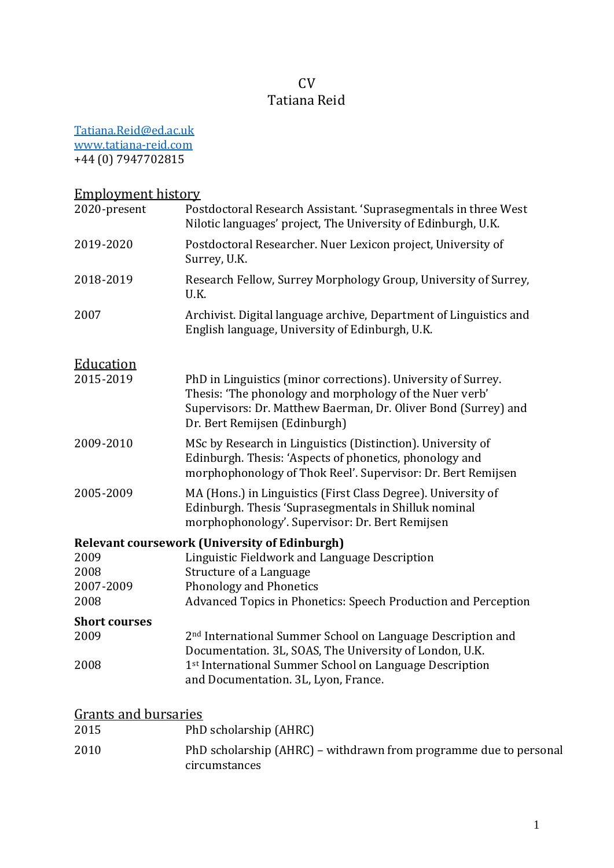# CV Tatiana Reid

[Tatiana.Reid@ed.ac.uk](mailto:Tatiana.Reid@ed.ac.uk) [www.tatiana-reid.com](http://www.tatiana-reid.com/) +44 (0) 7947702815

# Employment history

| 2020-present                  | Postdoctoral Research Assistant. 'Suprasegmentals in three West<br>Nilotic languages' project, The University of Edinburgh, U.K.                                                                                            |
|-------------------------------|-----------------------------------------------------------------------------------------------------------------------------------------------------------------------------------------------------------------------------|
| 2019-2020                     | Postdoctoral Researcher. Nuer Lexicon project, University of<br>Surrey, U.K.                                                                                                                                                |
| 2018-2019                     | Research Fellow, Surrey Morphology Group, University of Surrey,<br>U.K.                                                                                                                                                     |
| 2007                          | Archivist. Digital language archive, Department of Linguistics and<br>English language, University of Edinburgh, U.K.                                                                                                       |
| <b>Education</b><br>2015-2019 | PhD in Linguistics (minor corrections). University of Surrey.<br>Thesis: 'The phonology and morphology of the Nuer verb'<br>Supervisors: Dr. Matthew Baerman, Dr. Oliver Bond (Surrey) and<br>Dr. Bert Remijsen (Edinburgh) |
| 2009-2010                     | MSc by Research in Linguistics (Distinction). University of<br>Edinburgh. Thesis: 'Aspects of phonetics, phonology and<br>morphophonology of Thok Reel'. Supervisor: Dr. Bert Remijsen                                      |
| 2005-2009                     | MA (Hons.) in Linguistics (First Class Degree). University of<br>Edinburgh. Thesis 'Suprasegmentals in Shilluk nominal<br>morphophonology'. Supervisor: Dr. Bert Remijsen                                                   |
|                               | <b>Relevant coursework (University of Edinburgh)</b>                                                                                                                                                                        |
| 2009                          | Linguistic Fieldwork and Language Description                                                                                                                                                                               |
| 2008                          | Structure of a Language                                                                                                                                                                                                     |
| 2007-2009                     | Phonology and Phonetics                                                                                                                                                                                                     |
| 2008                          | Advanced Topics in Phonetics: Speech Production and Perception                                                                                                                                                              |
| <b>Short courses</b>          |                                                                                                                                                                                                                             |
| 2009                          | 2 <sup>nd</sup> International Summer School on Language Description and                                                                                                                                                     |
|                               | Documentation. 3L, SOAS, The University of London, U.K.                                                                                                                                                                     |
| 2008                          | 1st International Summer School on Language Description<br>and Documentation. 3L, Lyon, France.                                                                                                                             |
| <b>Grants and bursaries</b>   |                                                                                                                                                                                                                             |
| 2015                          | PhD scholarshin (AHRC)                                                                                                                                                                                                      |

| 2015 | PhD scholarship (AHRC)                                            |
|------|-------------------------------------------------------------------|
| 2010 | PhD scholarship (AHRC) – withdrawn from programme due to personal |
|      | circumstances                                                     |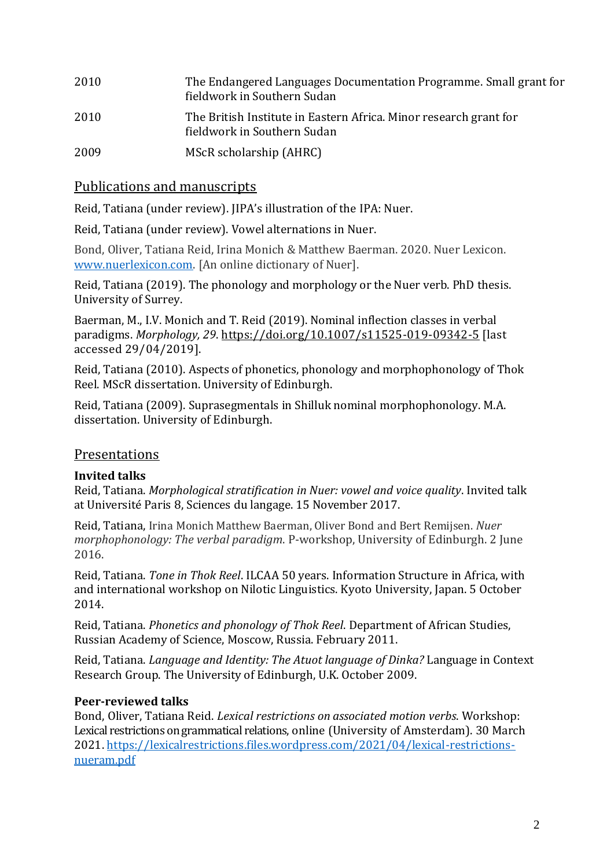| 2010 | The Endangered Languages Documentation Programme. Small grant for<br>fieldwork in Southern Sudan |
|------|--------------------------------------------------------------------------------------------------|
| 2010 | The British Institute in Eastern Africa. Minor research grant for<br>fieldwork in Southern Sudan |
| 2009 | MScR scholarship (AHRC)                                                                          |

## Publications and manuscripts

Reid, Tatiana (under review). JIPA's illustration of the IPA: Nuer.

Reid, Tatiana (under review). Vowel alternations in Nuer.

Bond, Oliver, Tatiana Reid, Irina Monich & Matthew Baerman. 2020. Nuer Lexicon. [www.nuerlexicon.com.](http://www.nuerlexicon.com/) [An online dictionary of Nuer].

Reid, Tatiana (2019). The phonology and morphology or the Nuer verb. PhD thesis. University of Surrey.

Baerman, M., I.V. Monich and T. Reid (2019). Nominal inflection classes in verbal paradigms. *Morphology, 29*[. https://doi.org/10.1007/s11525-019-09342-5](https://doi.org/10.1007/s11525-019-09342-5) [last accessed 29/04/2019].

Reid, Tatiana (2010). Aspects of phonetics, phonology and morphophonology of Thok Reel. MScR dissertation. University of Edinburgh.

Reid, Tatiana (2009). Suprasegmentals in Shilluk nominal morphophonology. M.A. dissertation. University of Edinburgh.

## Presentations

## **Invited talks**

Reid, Tatiana. *Morphological stratification in Nuer: vowel and voice quality*. Invited talk at Université Paris 8, Sciences du langage. 15 November 2017.

Reid, Tatiana, Irina Monich Matthew Baerman, Oliver Bond and Bert Remijsen. *Nuer morphophonology: The verbal paradigm*. P-workshop, University of Edinburgh. 2 June 2016.

Reid, Tatiana. *Tone in Thok Reel*. ILCAA 50 years. Information Structure in Africa, with and international workshop on Nilotic Linguistics. Kyoto University, Japan. 5 October 2014.

Reid, Tatiana. *Phonetics and phonology of Thok Reel*. Department of African Studies, Russian Academy of Science, Moscow, Russia. February 2011.

Reid, Tatiana. *Language and Identity: The Atuot language of Dinka?* Language in Context Research Group. The University of Edinburgh, U.K. October 2009.

## **Peer-reviewed talks**

Bond, Oliver, Tatiana Reid. *Lexical restrictions on associated motion verbs*. Workshop: Lexical restrictions on grammatical relations, online (University of Amsterdam). 30 March 2021[. https://lexicalrestrictions.files.wordpress.com/2021/04/lexical-restrictions](https://lexicalrestrictions.files.wordpress.com/2021/04/lexical-restrictions-nueram.pdf)[nueram.pdf](https://lexicalrestrictions.files.wordpress.com/2021/04/lexical-restrictions-nueram.pdf)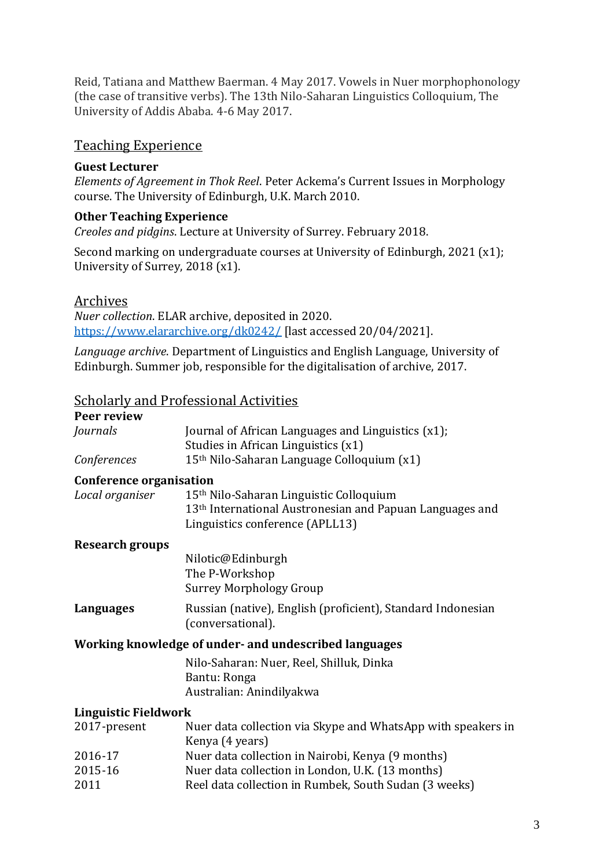Reid, Tatiana and Matthew Baerman. 4 May 2017. Vowels in Nuer morphophonology (the case of transitive verbs). The 13th Nilo-Saharan Linguistics Colloquium, The University of Addis Ababa. 4-6 May 2017.

#### Teaching Experience

#### **Guest Lecturer**

*Elements of Agreement in Thok Reel*. Peter Ackema's Current Issues in Morphology course. The University of Edinburgh, U.K. March 2010.

#### **Other Teaching Experience**

*Creoles and pidgins*. Lecture at University of Surrey. February 2018.

Second marking on undergraduate courses at University of Edinburgh, 2021 (x1); University of Surrey, 2018 (x1).

#### Archives

*Nuer collection*. ELAR archive, deposited in 2020. <https://www.elararchive.org/dk0242/> [last accessed 20/04/2021].

*Language archive*. Department of Linguistics and English Language, University of Edinburgh. Summer job, responsible for the digitalisation of archive, 2017.

## Scholarly and Professional Activities

| Journal of African Languages and Linguistics (x1);<br>Studies in African Linguistics (x1)                                                                      |
|----------------------------------------------------------------------------------------------------------------------------------------------------------------|
| 15 <sup>th</sup> Nilo-Saharan Language Colloquium (x1)                                                                                                         |
| Conference organisation                                                                                                                                        |
| 15 <sup>th</sup> Nilo-Saharan Linguistic Colloquium<br>13 <sup>th</sup> International Austronesian and Papuan Languages and<br>Linguistics conference (APLL13) |
|                                                                                                                                                                |
| Nilotic@Edinburgh<br>The P-Workshop<br><b>Surrey Morphology Group</b>                                                                                          |
| Russian (native), English (proficient), Standard Indonesian<br>(conversational).                                                                               |
| Working knowledge of under- and undescribed languages                                                                                                          |
| Nilo-Saharan: Nuer, Reel, Shilluk, Dinka<br>Bantu: Ronga<br>Australian: Anindilyakwa                                                                           |
| <b>Linguistic Fieldwork</b>                                                                                                                                    |
| Nuer data collection via Skype and WhatsApp with speakers in<br>Kenya (4 years)                                                                                |
| Nuer data collection in Nairobi, Kenya (9 months)                                                                                                              |
| Nuer data collection in London, U.K. (13 months)<br>Reel data collection in Rumbek, South Sudan (3 weeks)                                                      |
|                                                                                                                                                                |